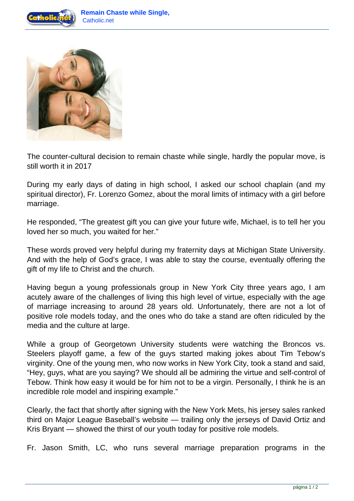



The counter-cultural decision to remain chaste while single, hardly the popular move, is still worth it in 2017

During my early days of dating in high school, I asked our school chaplain (and my spiritual director), Fr. Lorenzo Gomez, about the moral limits of intimacy with a girl before marriage.

He responded, "The greatest gift you can give your future wife, Michael, is to tell her you loved her so much, you waited for her."

These words proved very helpful during my fraternity days at Michigan State University. And with the help of God's grace, I was able to stay the course, eventually offering the gift of my life to Christ and the church.

Having begun a young professionals group in New York City three years ago, I am acutely aware of the challenges of living this high level of virtue, especially with the age of marriage increasing to around 28 years old. Unfortunately, there are not a lot of positive role models today, and the ones who do take a stand are often ridiculed by the media and the culture at large.

While a group of Georgetown University students were watching the Broncos vs. Steelers playoff game, a few of the guys started making jokes about Tim Tebow's virginity. One of the young men, who now works in New York City, took a stand and said, "Hey, guys, what are you saying? We should all be admiring the virtue and self-control of Tebow. Think how easy it would be for him not to be a virgin. Personally, I think he is an incredible role model and inspiring example."

Clearly, the fact that shortly after signing with the New York Mets, his jersey sales ranked third on Major League Baseball's website — trailing only the jerseys of David Ortiz and Kris Bryant — showed the thirst of our youth today for positive role models.

Fr. Jason Smith, LC, who runs several marriage preparation programs in the